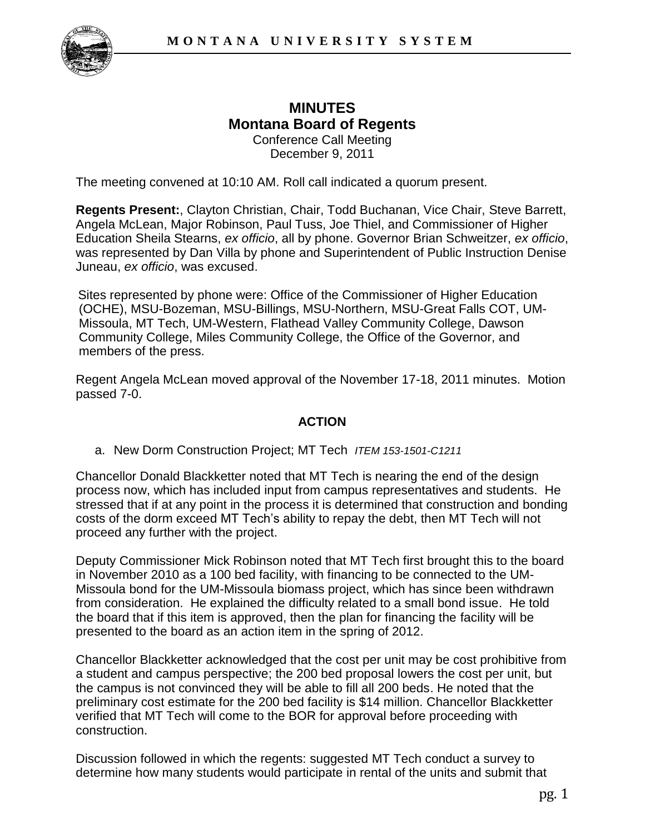

## **MINUTES Montana Board of Regents**  Conference Call Meeting December 9, 2011

The meeting convened at 10:10 AM. Roll call indicated a quorum present.

**Regents Present:**, Clayton Christian, Chair, Todd Buchanan, Vice Chair, Steve Barrett, Angela McLean, Major Robinson, Paul Tuss, Joe Thiel, and Commissioner of Higher Education Sheila Stearns, *ex officio*, all by phone. Governor Brian Schweitzer, *ex officio*, was represented by Dan Villa by phone and Superintendent of Public Instruction Denise Juneau, *ex officio*, was excused.

Sites represented by phone were: Office of the Commissioner of Higher Education (OCHE), MSU-Bozeman, MSU-Billings, MSU-Northern, MSU-Great Falls COT, UM-Missoula, MT Tech, UM-Western, Flathead Valley Community College, Dawson Community College, Miles Community College, the Office of the Governor, and members of the press.

Regent Angela McLean moved approval of the November 17-18, 2011 minutes. Motion passed 7-0.

## **ACTION**

a. New Dorm Construction Project; MT Tech *ITEM 153-1501-C1211*

Chancellor Donald Blackketter noted that MT Tech is nearing the end of the design process now, which has included input from campus representatives and students. He stressed that if at any point in the process it is determined that construction and bonding costs of the dorm exceed MT Tech's ability to repay the debt, then MT Tech will not proceed any further with the project.

Deputy Commissioner Mick Robinson noted that MT Tech first brought this to the board in November 2010 as a 100 bed facility, with financing to be connected to the UM-Missoula bond for the UM-Missoula biomass project, which has since been withdrawn from consideration. He explained the difficulty related to a small bond issue. He told the board that if this item is approved, then the plan for financing the facility will be presented to the board as an action item in the spring of 2012.

Chancellor Blackketter acknowledged that the cost per unit may be cost prohibitive from a student and campus perspective; the 200 bed proposal lowers the cost per unit, but the campus is not convinced they will be able to fill all 200 beds. He noted that the preliminary cost estimate for the 200 bed facility is \$14 million. Chancellor Blackketter verified that MT Tech will come to the BOR for approval before proceeding with construction.

Discussion followed in which the regents: suggested MT Tech conduct a survey to determine how many students would participate in rental of the units and submit that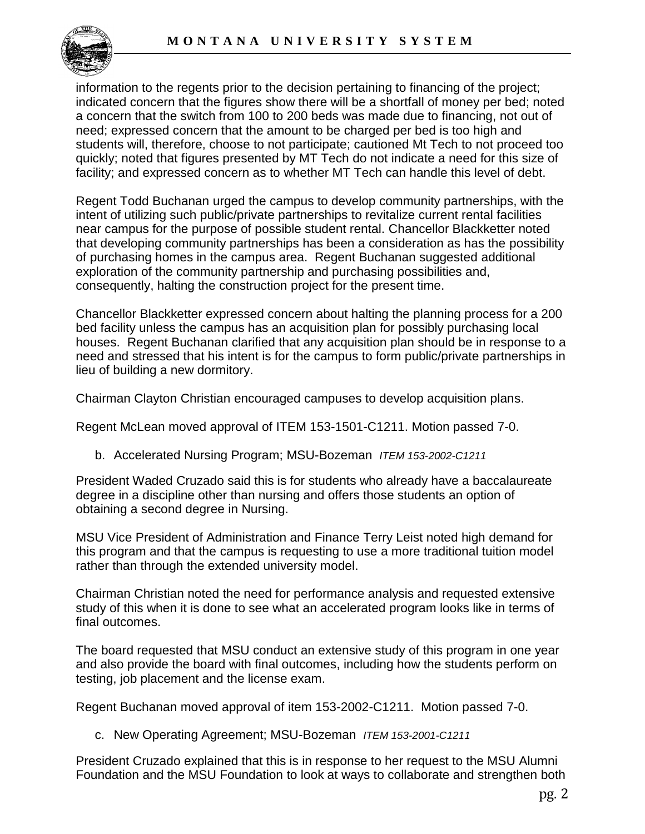

information to the regents prior to the decision pertaining to financing of the project; indicated concern that the figures show there will be a shortfall of money per bed; noted a concern that the switch from 100 to 200 beds was made due to financing, not out of need; expressed concern that the amount to be charged per bed is too high and students will, therefore, choose to not participate; cautioned Mt Tech to not proceed too quickly; noted that figures presented by MT Tech do not indicate a need for this size of facility; and expressed concern as to whether MT Tech can handle this level of debt.

Regent Todd Buchanan urged the campus to develop community partnerships, with the intent of utilizing such public/private partnerships to revitalize current rental facilities near campus for the purpose of possible student rental. Chancellor Blackketter noted that developing community partnerships has been a consideration as has the possibility of purchasing homes in the campus area. Regent Buchanan suggested additional exploration of the community partnership and purchasing possibilities and, consequently, halting the construction project for the present time.

Chancellor Blackketter expressed concern about halting the planning process for a 200 bed facility unless the campus has an acquisition plan for possibly purchasing local houses. Regent Buchanan clarified that any acquisition plan should be in response to a need and stressed that his intent is for the campus to form public/private partnerships in lieu of building a new dormitory.

Chairman Clayton Christian encouraged campuses to develop acquisition plans.

Regent McLean moved approval of ITEM 153-1501-C1211. Motion passed 7-0.

b. Accelerated Nursing Program; MSU-Bozeman *ITEM 153-2002-C1211*

President Waded Cruzado said this is for students who already have a baccalaureate degree in a discipline other than nursing and offers those students an option of obtaining a second degree in Nursing.

MSU Vice President of Administration and Finance Terry Leist noted high demand for this program and that the campus is requesting to use a more traditional tuition model rather than through the extended university model.

Chairman Christian noted the need for performance analysis and requested extensive study of this when it is done to see what an accelerated program looks like in terms of final outcomes.

The board requested that MSU conduct an extensive study of this program in one year and also provide the board with final outcomes, including how the students perform on testing, job placement and the license exam.

Regent Buchanan moved approval of item 153-2002-C1211. Motion passed 7-0.

c. New Operating Agreement; MSU-Bozeman *ITEM 153-2001-C1211*

President Cruzado explained that this is in response to her request to the MSU Alumni Foundation and the MSU Foundation to look at ways to collaborate and strengthen both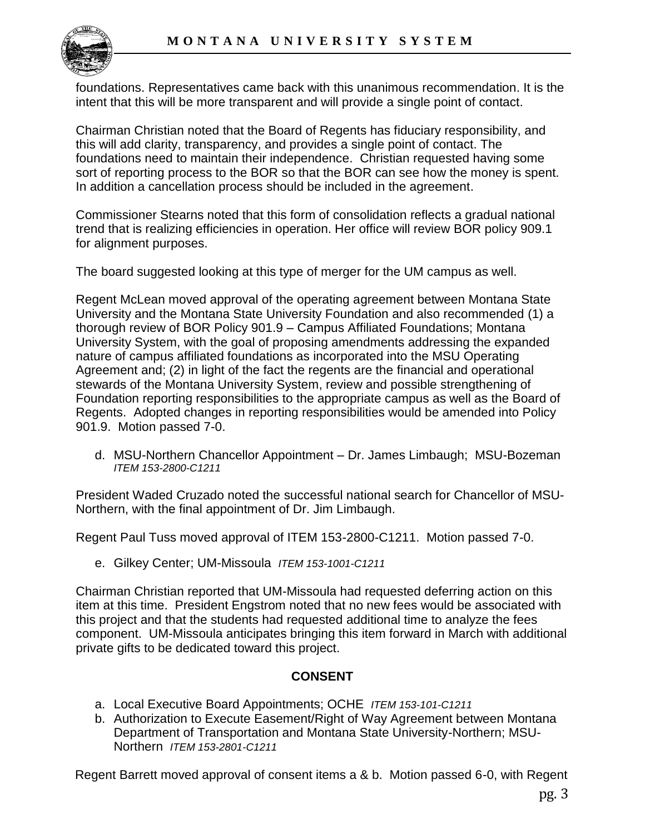

foundations. Representatives came back with this unanimous recommendation. It is the intent that this will be more transparent and will provide a single point of contact.

Chairman Christian noted that the Board of Regents has fiduciary responsibility, and this will add clarity, transparency, and provides a single point of contact. The foundations need to maintain their independence. Christian requested having some sort of reporting process to the BOR so that the BOR can see how the money is spent. In addition a cancellation process should be included in the agreement.

Commissioner Stearns noted that this form of consolidation reflects a gradual national trend that is realizing efficiencies in operation. Her office will review BOR policy 909.1 for alignment purposes.

The board suggested looking at this type of merger for the UM campus as well.

Regent McLean moved approval of the operating agreement between Montana State University and the Montana State University Foundation and also recommended (1) a thorough review of BOR Policy 901.9 – Campus Affiliated Foundations; Montana University System, with the goal of proposing amendments addressing the expanded nature of campus affiliated foundations as incorporated into the MSU Operating Agreement and; (2) in light of the fact the regents are the financial and operational stewards of the Montana University System, review and possible strengthening of Foundation reporting responsibilities to the appropriate campus as well as the Board of Regents. Adopted changes in reporting responsibilities would be amended into Policy 901.9. Motion passed 7-0.

d. MSU-Northern Chancellor Appointment – Dr. James Limbaugh; MSU-Bozeman *ITEM 153-2800-C1211*

President Waded Cruzado noted the successful national search for Chancellor of MSU-Northern, with the final appointment of Dr. Jim Limbaugh.

Regent Paul Tuss moved approval of ITEM 153-2800-C1211. Motion passed 7-0.

e. Gilkey Center; UM-Missoula *ITEM 153-1001-C1211*

Chairman Christian reported that UM-Missoula had requested deferring action on this item at this time. President Engstrom noted that no new fees would be associated with this project and that the students had requested additional time to analyze the fees component. UM-Missoula anticipates bringing this item forward in March with additional private gifts to be dedicated toward this project.

## **CONSENT**

- a. Local Executive Board Appointments; OCHE *ITEM 153-101-C1211*
- b. Authorization to Execute Easement/Right of Way Agreement between Montana Department of Transportation and Montana State University-Northern; MSU-Northern *ITEM 153-2801-C1211*

Regent Barrett moved approval of consent items a & b. Motion passed 6-0, with Regent